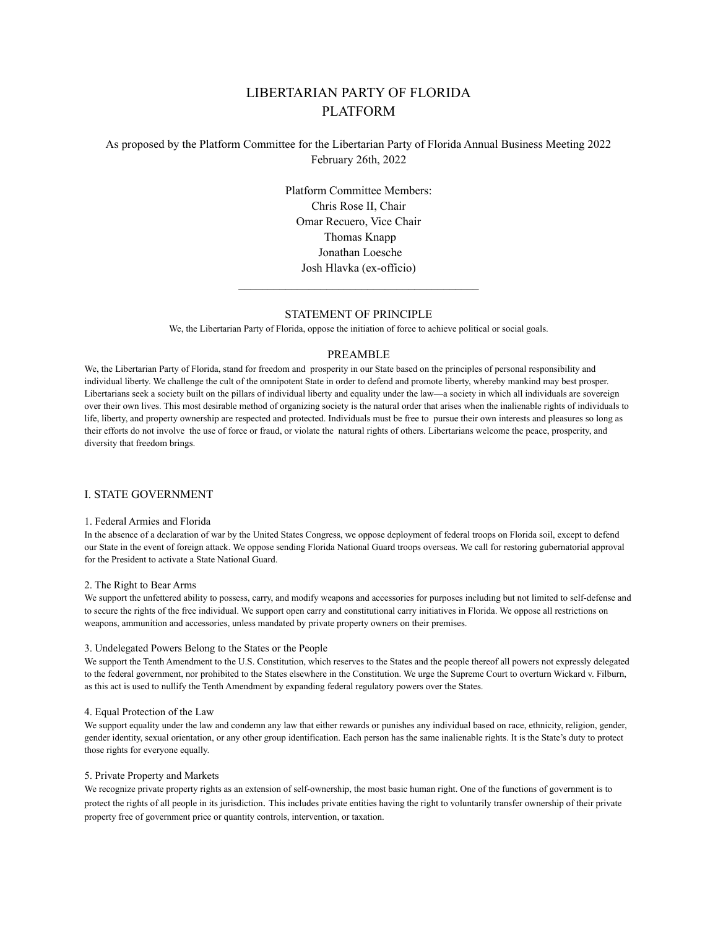# LIBERTARIAN PARTY OF FLORIDA PLATFORM

# As proposed by the Platform Committee for the Libertarian Party of Florida Annual Business Meeting 2022 February 26th, 2022

Platform Committee Members: Chris Rose II, Chair Omar Recuero, Vice Chair Thomas Knapp Jonathan Loesche Josh Hlavka (ex-officio)

### STATEMENT OF PRINCIPLE

\_\_\_\_\_\_\_\_\_\_\_\_\_\_\_\_\_\_\_\_\_\_\_\_\_\_\_\_\_\_\_\_\_\_\_\_\_\_\_\_\_

We, the Libertarian Party of Florida, oppose the initiation of force to achieve political or social goals.

### PREAMBLE

We, the Libertarian Party of Florida, stand for freedom and prosperity in our State based on the principles of personal responsibility and individual liberty. We challenge the cult of the omnipotent State in order to defend and promote liberty, whereby mankind may best prosper. Libertarians seek a society built on the pillars of individual liberty and equality under the law—a society in which all individuals are sovereign over their own lives. This most desirable method of organizing society is the natural order that arises when the inalienable rights of individuals to life, liberty, and property ownership are respected and protected. Individuals must be free to pursue their own interests and pleasures so long as their efforts do not involve the use of force or fraud, or violate the natural rights of others. Libertarians welcome the peace, prosperity, and diversity that freedom brings.

### I. STATE GOVERNMENT

### 1. Federal Armies and Florida

In the absence of a declaration of war by the United States Congress, we oppose deployment of federal troops on Florida soil, except to defend our State in the event of foreign attack. We oppose sending Florida National Guard troops overseas. We call for restoring gubernatorial approval for the President to activate a State National Guard.

### 2. The Right to Bear Arms

We support the unfettered ability to possess, carry, and modify weapons and accessories for purposes including but not limited to self-defense and to secure the rights of the free individual. We support open carry and constitutional carry initiatives in Florida. We oppose all restrictions on weapons, ammunition and accessories, unless mandated by private property owners on their premises.

#### 3. Undelegated Powers Belong to the States or the People

We support the Tenth Amendment to the U.S. Constitution, which reserves to the States and the people thereof all powers not expressly delegated to the federal government, nor prohibited to the States elsewhere in the Constitution. We urge the Supreme Court to overturn Wickard v. Filburn, as this act is used to nullify the Tenth Amendment by expanding federal regulatory powers over the States.

#### 4. Equal Protection of the Law

We support equality under the law and condemn any law that either rewards or punishes any individual based on race, ethnicity, religion, gender, gender identity, sexual orientation, or any other group identification. Each person has the same inalienable rights. It is the State's duty to protect those rights for everyone equally.

#### 5. Private Property and Markets

We recognize private property rights as an extension of self-ownership, the most basic human right. One of the functions of government is to protect the rights of all people in its jurisdiction. This includes private entities having the right to voluntarily transfer ownership of their private property free of government price or quantity controls, intervention, or taxation.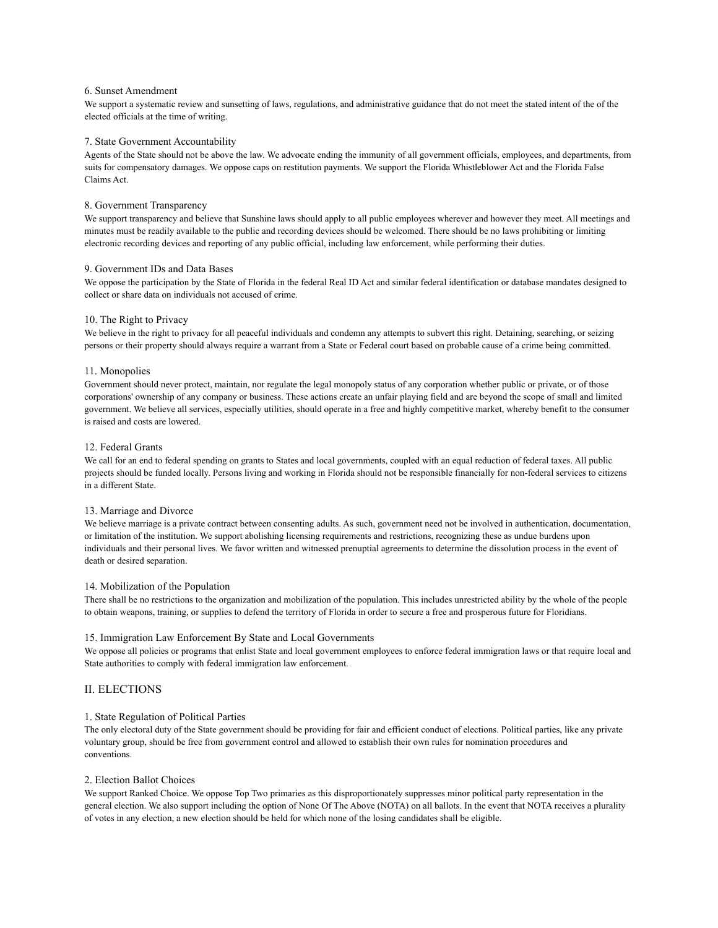### 6. Sunset Amendment

We support a systematic review and sunsetting of laws, regulations, and administrative guidance that do not meet the stated intent of the of the elected officials at the time of writing.

### 7. State Government Accountability

Agents of the State should not be above the law. We advocate ending the immunity of all government officials, employees, and departments, from suits for compensatory damages. We oppose caps on restitution payments. We support the Florida Whistleblower Act and the Florida False Claims Act.

### 8. Government Transparency

We support transparency and believe that Sunshine laws should apply to all public employees wherever and however they meet. All meetings and minutes must be readily available to the public and recording devices should be welcomed. There should be no laws prohibiting or limiting electronic recording devices and reporting of any public official, including law enforcement, while performing their duties.

### 9. Government IDs and Data Bases

We oppose the participation by the State of Florida in the federal Real ID Act and similar federal identification or database mandates designed to collect or share data on individuals not accused of crime.

#### 10. The Right to Privacy

We believe in the right to privacy for all peaceful individuals and condemn any attempts to subvert this right. Detaining, searching, or seizing persons or their property should always require a warrant from a State or Federal court based on probable cause of a crime being committed.

### 11. Monopolies

Government should never protect, maintain, nor regulate the legal monopoly status of any corporation whether public or private, or of those corporations' ownership of any company or business. These actions create an unfair playing field and are beyond the scope of small and limited government. We believe all services, especially utilities, should operate in a free and highly competitive market, whereby benefit to the consumer is raised and costs are lowered.

#### 12. Federal Grants

We call for an end to federal spending on grants to States and local governments, coupled with an equal reduction of federal taxes. All public projects should be funded locally. Persons living and working in Florida should not be responsible financially for non-federal services to citizens in a different State.

### 13. Marriage and Divorce

We believe marriage is a private contract between consenting adults. As such, government need not be involved in authentication, documentation, or limitation of the institution. We support abolishing licensing requirements and restrictions, recognizing these as undue burdens upon individuals and their personal lives. We favor written and witnessed prenuptial agreements to determine the dissolution process in the event of death or desired separation.

### 14. Mobilization of the Population

There shall be no restrictions to the organization and mobilization of the population. This includes unrestricted ability by the whole of the people to obtain weapons, training, or supplies to defend the territory of Florida in order to secure a free and prosperous future for Floridians.

#### 15. Immigration Law Enforcement By State and Local Governments

We oppose all policies or programs that enlist State and local government employees to enforce federal immigration laws or that require local and State authorities to comply with federal immigration law enforcement.

### II. ELECTIONS

### 1. State Regulation of Political Parties

The only electoral duty of the State government should be providing for fair and efficient conduct of elections. Political parties, like any private voluntary group, should be free from government control and allowed to establish their own rules for nomination procedures and conventions.

### 2. Election Ballot Choices

We support Ranked Choice. We oppose Top Two primaries as this disproportionately suppresses minor political party representation in the general election. We also support including the option of None Of The Above (NOTA) on all ballots. In the event that NOTA receives a plurality of votes in any election, a new election should be held for which none of the losing candidates shall be eligible.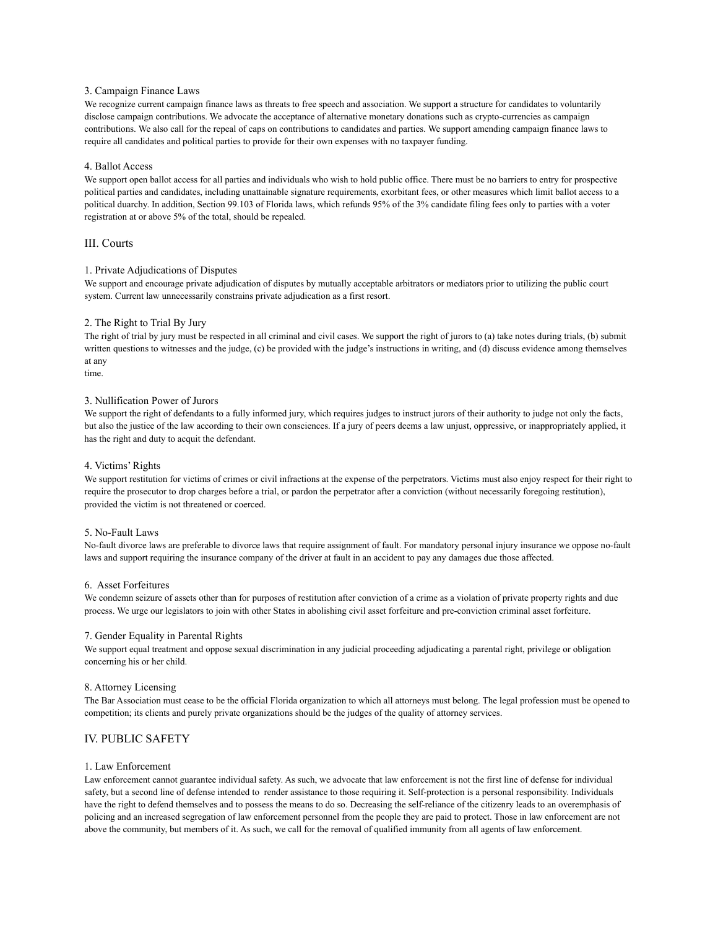#### 3. Campaign Finance Laws

We recognize current campaign finance laws as threats to free speech and association. We support a structure for candidates to voluntarily disclose campaign contributions. We advocate the acceptance of alternative monetary donations such as crypto-currencies as campaign contributions. We also call for the repeal of caps on contributions to candidates and parties. We support amending campaign finance laws to require all candidates and political parties to provide for their own expenses with no taxpayer funding.

#### 4. Ballot Access

We support open ballot access for all parties and individuals who wish to hold public office. There must be no barriers to entry for prospective political parties and candidates, including unattainable signature requirements, exorbitant fees, or other measures which limit ballot access to a political duarchy. In addition, Section 99.103 of Florida laws, which refunds 95% of the 3% candidate filing fees only to parties with a voter registration at or above 5% of the total, should be repealed.

### III. Courts

#### 1. Private Adjudications of Disputes

We support and encourage private adjudication of disputes by mutually acceptable arbitrators or mediators prior to utilizing the public court system. Current law unnecessarily constrains private adjudication as a first resort.

#### 2. The Right to Trial By Jury

The right of trial by jury must be respected in all criminal and civil cases. We support the right of jurors to (a) take notes during trials, (b) submit written questions to witnesses and the judge, (c) be provided with the judge's instructions in writing, and (d) discuss evidence among themselves at any

time.

#### 3. Nullification Power of Jurors

We support the right of defendants to a fully informed jury, which requires judges to instruct jurors of their authority to judge not only the facts, but also the justice of the law according to their own consciences. If a jury of peers deems a law unjust, oppressive, or inappropriately applied, it has the right and duty to acquit the defendant.

### 4. Victims' Rights

We support restitution for victims of crimes or civil infractions at the expense of the perpetrators. Victims must also enjoy respect for their right to require the prosecutor to drop charges before a trial, or pardon the perpetrator after a conviction (without necessarily foregoing restitution), provided the victim is not threatened or coerced.

#### 5. No-Fault Laws

No-fault divorce laws are preferable to divorce laws that require assignment of fault. For mandatory personal injury insurance we oppose no-fault laws and support requiring the insurance company of the driver at fault in an accident to pay any damages due those affected.

#### 6. Asset Forfeitures

We condemn seizure of assets other than for purposes of restitution after conviction of a crime as a violation of private property rights and due process. We urge our legislators to join with other States in abolishing civil asset forfeiture and pre-conviction criminal asset forfeiture.

#### 7. Gender Equality in Parental Rights

We support equal treatment and oppose sexual discrimination in any judicial proceeding adjudicating a parental right, privilege or obligation concerning his or her child.

#### 8. Attorney Licensing

The Bar Association must cease to be the official Florida organization to which all attorneys must belong. The legal profession must be opened to competition; its clients and purely private organizations should be the judges of the quality of attorney services.

### IV. PUBLIC SAFETY

#### 1. Law Enforcement

Law enforcement cannot guarantee individual safety. As such, we advocate that law enforcement is not the first line of defense for individual safety, but a second line of defense intended to render assistance to those requiring it. Self-protection is a personal responsibility. Individuals have the right to defend themselves and to possess the means to do so. Decreasing the self-reliance of the citizenry leads to an overemphasis of policing and an increased segregation of law enforcement personnel from the people they are paid to protect. Those in law enforcement are not above the community, but members of it. As such, we call for the removal of qualified immunity from all agents of law enforcement.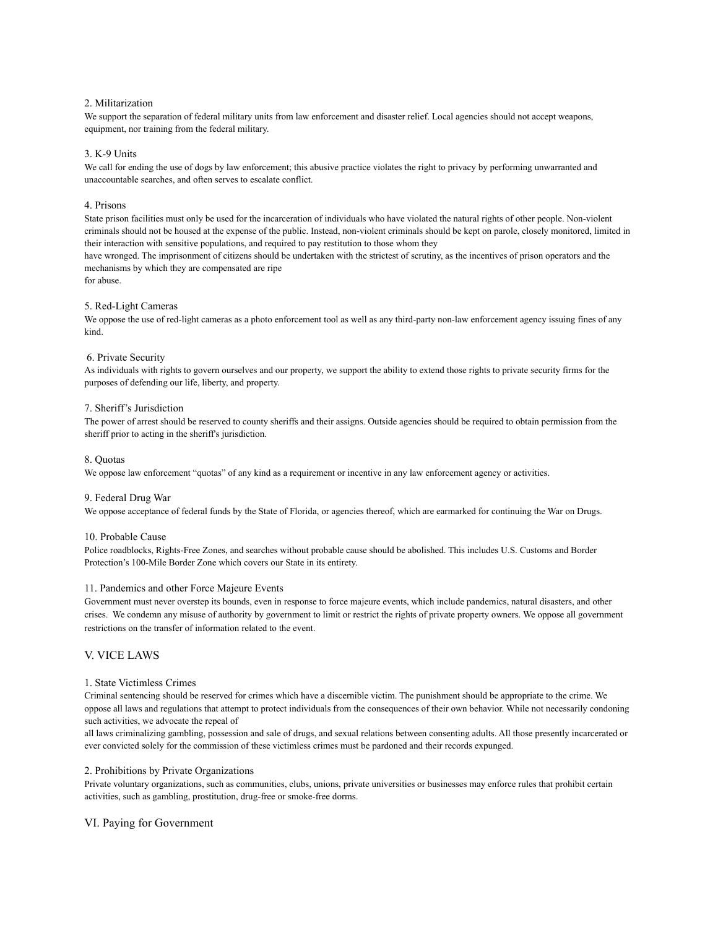### 2. Militarization

We support the separation of federal military units from law enforcement and disaster relief. Local agencies should not accept weapons, equipment, nor training from the federal military.

#### 3. K-9 Units

We call for ending the use of dogs by law enforcement; this abusive practice violates the right to privacy by performing unwarranted and unaccountable searches, and often serves to escalate conflict.

#### 4. Prisons

State prison facilities must only be used for the incarceration of individuals who have violated the natural rights of other people. Non-violent criminals should not be housed at the expense of the public. Instead, non-violent criminals should be kept on parole, closely monitored, limited in their interaction with sensitive populations, and required to pay restitution to those whom they

have wronged. The imprisonment of citizens should be undertaken with the strictest of scrutiny, as the incentives of prison operators and the mechanisms by which they are compensated are ripe

for abuse.

#### 5. Red-Light Cameras

We oppose the use of red-light cameras as a photo enforcement tool as well as any third-party non-law enforcement agency issuing fines of any kind.

#### 6. Private Security

As individuals with rights to govern ourselves and our property, we support the ability to extend those rights to private security firms for the purposes of defending our life, liberty, and property.

### 7. Sheriff's Jurisdiction

The power of arrest should be reserved to county sheriffs and their assigns. Outside agencies should be required to obtain permission from the sheriff prior to acting in the sheriff's jurisdiction.

#### 8. Quotas

We oppose law enforcement "quotas" of any kind as a requirement or incentive in any law enforcement agency or activities.

#### 9. Federal Drug War

We oppose acceptance of federal funds by the State of Florida, or agencies thereof, which are earmarked for continuing the War on Drugs.

#### 10. Probable Cause

Police roadblocks, Rights-Free Zones, and searches without probable cause should be abolished. This includes U.S. Customs and Border Protection's 100-Mile Border Zone which covers our State in its entirety.

#### 11. Pandemics and other Force Majeure Events

Government must never overstep its bounds, even in response to force majeure events, which include pandemics, natural disasters, and other crises. We condemn any misuse of authority by government to limit or restrict the rights of private property owners. We oppose all government restrictions on the transfer of information related to the event.

### V. VICE LAWS

#### 1. State Victimless Crimes

Criminal sentencing should be reserved for crimes which have a discernible victim. The punishment should be appropriate to the crime. We oppose all laws and regulations that attempt to protect individuals from the consequences of their own behavior. While not necessarily condoning such activities, we advocate the repeal of

all laws criminalizing gambling, possession and sale of drugs, and sexual relations between consenting adults. All those presently incarcerated or ever convicted solely for the commission of these victimless crimes must be pardoned and their records expunged.

#### 2. Prohibitions by Private Organizations

Private voluntary organizations, such as communities, clubs, unions, private universities or businesses may enforce rules that prohibit certain activities, such as gambling, prostitution, drug-free or smoke-free dorms.

### VI. Paying for Government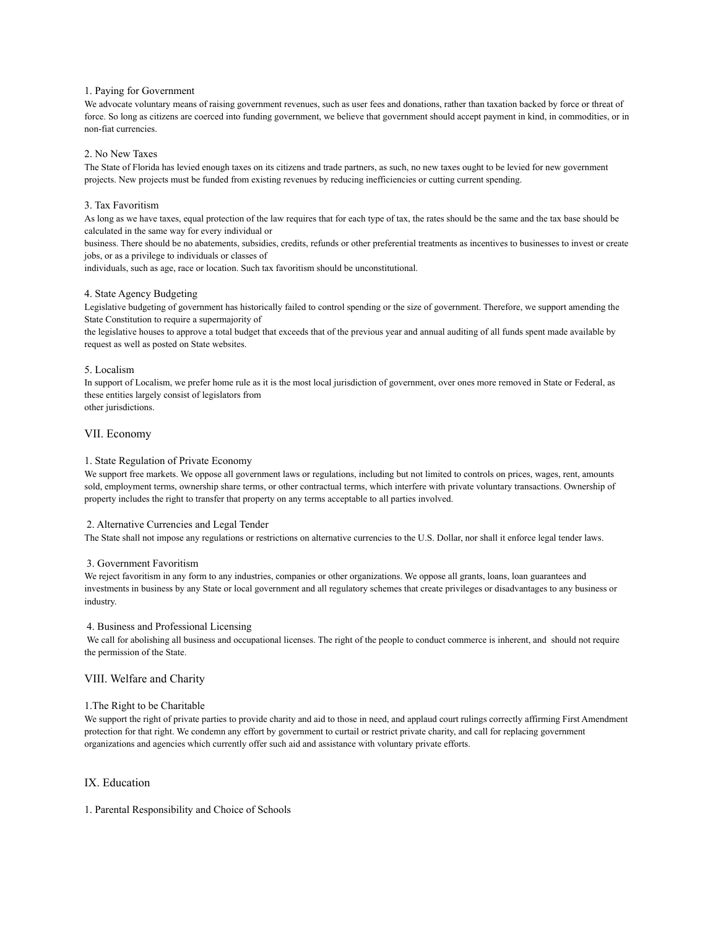### 1. Paying for Government

We advocate voluntary means of raising government revenues, such as user fees and donations, rather than taxation backed by force or threat of force. So long as citizens are coerced into funding government, we believe that government should accept payment in kind, in commodities, or in non-fiat currencies.

### 2. No New Taxes

The State of Florida has levied enough taxes on its citizens and trade partners, as such, no new taxes ought to be levied for new government projects. New projects must be funded from existing revenues by reducing inefficiencies or cutting current spending.

### 3. Tax Favoritism

As long as we have taxes, equal protection of the law requires that for each type of tax, the rates should be the same and the tax base should be calculated in the same way for every individual or

business. There should be no abatements, subsidies, credits, refunds or other preferential treatments as incentives to businesses to invest or create jobs, or as a privilege to individuals or classes of

individuals, such as age, race or location. Such tax favoritism should be unconstitutional.

### 4. State Agency Budgeting

Legislative budgeting of government has historically failed to control spending or the size of government. Therefore, we support amending the State Constitution to require a supermajority of

the legislative houses to approve a total budget that exceeds that of the previous year and annual auditing of all funds spent made available by request as well as posted on State websites.

### 5. Localism

In support of Localism, we prefer home rule as it is the most local jurisdiction of government, over ones more removed in State or Federal, as these entities largely consist of legislators from other jurisdictions.

### VII. Economy

### 1. State Regulation of Private Economy

We support free markets. We oppose all government laws or regulations, including but not limited to controls on prices, wages, rent, amounts sold, employment terms, ownership share terms, or other contractual terms, which interfere with private voluntary transactions. Ownership of property includes the right to transfer that property on any terms acceptable to all parties involved.

### 2. Alternative Currencies and Legal Tender

The State shall not impose any regulations or restrictions on alternative currencies to the U.S. Dollar, nor shall it enforce legal tender laws.

### 3. Government Favoritism

We reject favoritism in any form to any industries, companies or other organizations. We oppose all grants, loans, loan guarantees and investments in business by any State or local government and all regulatory schemes that create privileges or disadvantages to any business or industry.

### 4. Business and Professional Licensing

We call for abolishing all business and occupational licenses. The right of the people to conduct commerce is inherent, and should not require the permission of the State.

### VIII. Welfare and Charity

### 1.The Right to be Charitable

We support the right of private parties to provide charity and aid to those in need, and applaud court rulings correctly affirming First Amendment protection for that right. We condemn any effort by government to curtail or restrict private charity, and call for replacing government organizations and agencies which currently offer such aid and assistance with voluntary private efforts.

### IX. Education

1. Parental Responsibility and Choice of Schools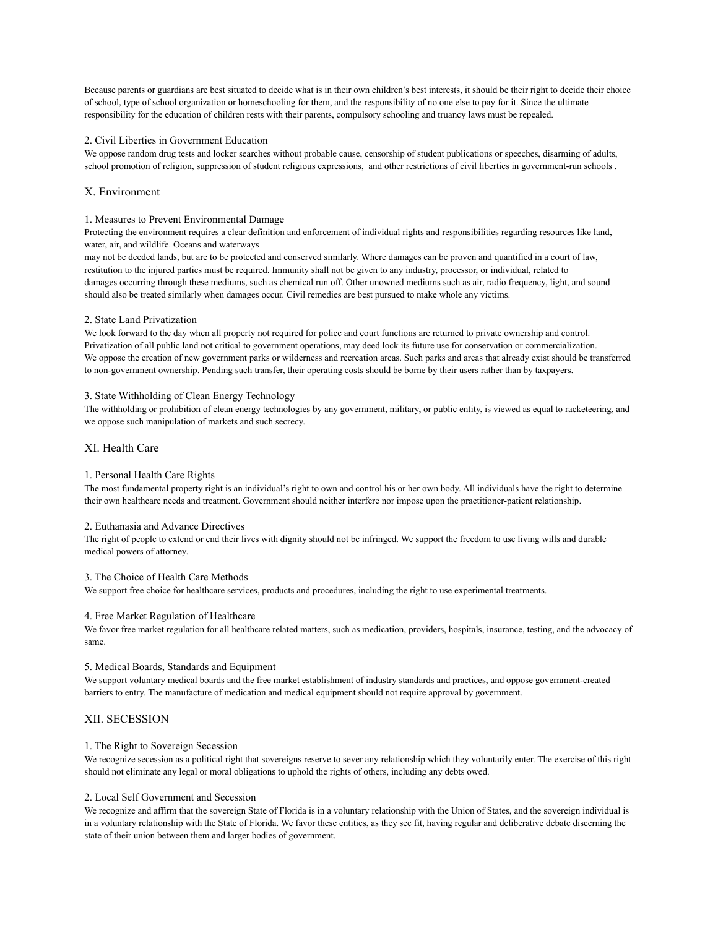Because parents or guardians are best situated to decide what is in their own children's best interests, it should be their right to decide their choice of school, type of school organization or homeschooling for them, and the responsibility of no one else to pay for it. Since the ultimate responsibility for the education of children rests with their parents, compulsory schooling and truancy laws must be repealed.

### 2. Civil Liberties in Government Education

We oppose random drug tests and locker searches without probable cause, censorship of student publications or speeches, disarming of adults, school promotion of religion, suppression of student religious expressions, and other restrictions of civil liberties in government-run schools .

### X. Environment

### 1. Measures to Prevent Environmental Damage

Protecting the environment requires a clear definition and enforcement of individual rights and responsibilities regarding resources like land, water, air, and wildlife. Oceans and waterways

may not be deeded lands, but are to be protected and conserved similarly. Where damages can be proven and quantified in a court of law, restitution to the injured parties must be required. Immunity shall not be given to any industry, processor, or individual, related to damages occurring through these mediums, such as chemical run off. Other unowned mediums such as air, radio frequency, light, and sound should also be treated similarly when damages occur. Civil remedies are best pursued to make whole any victims.

#### 2. State Land Privatization

We look forward to the day when all property not required for police and court functions are returned to private ownership and control. Privatization of all public land not critical to government operations, may deed lock its future use for conservation or commercialization. We oppose the creation of new government parks or wilderness and recreation areas. Such parks and areas that already exist should be transferred to non-government ownership. Pending such transfer, their operating costs should be borne by their users rather than by taxpayers.

#### 3. State Withholding of Clean Energy Technology

The withholding or prohibition of clean energy technologies by any government, military, or public entity, is viewed as equal to racketeering, and we oppose such manipulation of markets and such secrecy.

### XI. Health Care

### 1. Personal Health Care Rights

The most fundamental property right is an individual's right to own and control his or her own body. All individuals have the right to determine their own healthcare needs and treatment. Government should neither interfere nor impose upon the practitioner-patient relationship.

#### 2. Euthanasia and Advance Directives

The right of people to extend or end their lives with dignity should not be infringed. We support the freedom to use living wills and durable medical powers of attorney.

#### 3. The Choice of Health Care Methods

We support free choice for healthcare services, products and procedures, including the right to use experimental treatments.

#### 4. Free Market Regulation of Healthcare

We favor free market regulation for all healthcare related matters, such as medication, providers, hospitals, insurance, testing, and the advocacy of same.

#### 5. Medical Boards, Standards and Equipment

We support voluntary medical boards and the free market establishment of industry standards and practices, and oppose government-created barriers to entry. The manufacture of medication and medical equipment should not require approval by government.

### XII. SECESSION

### 1. The Right to Sovereign Secession

We recognize secession as a political right that sovereigns reserve to sever any relationship which they voluntarily enter. The exercise of this right should not eliminate any legal or moral obligations to uphold the rights of others, including any debts owed.

### 2. Local Self Government and Secession

We recognize and affirm that the sovereign State of Florida is in a voluntary relationship with the Union of States, and the sovereign individual is in a voluntary relationship with the State of Florida. We favor these entities, as they see fit, having regular and deliberative debate discerning the state of their union between them and larger bodies of government.